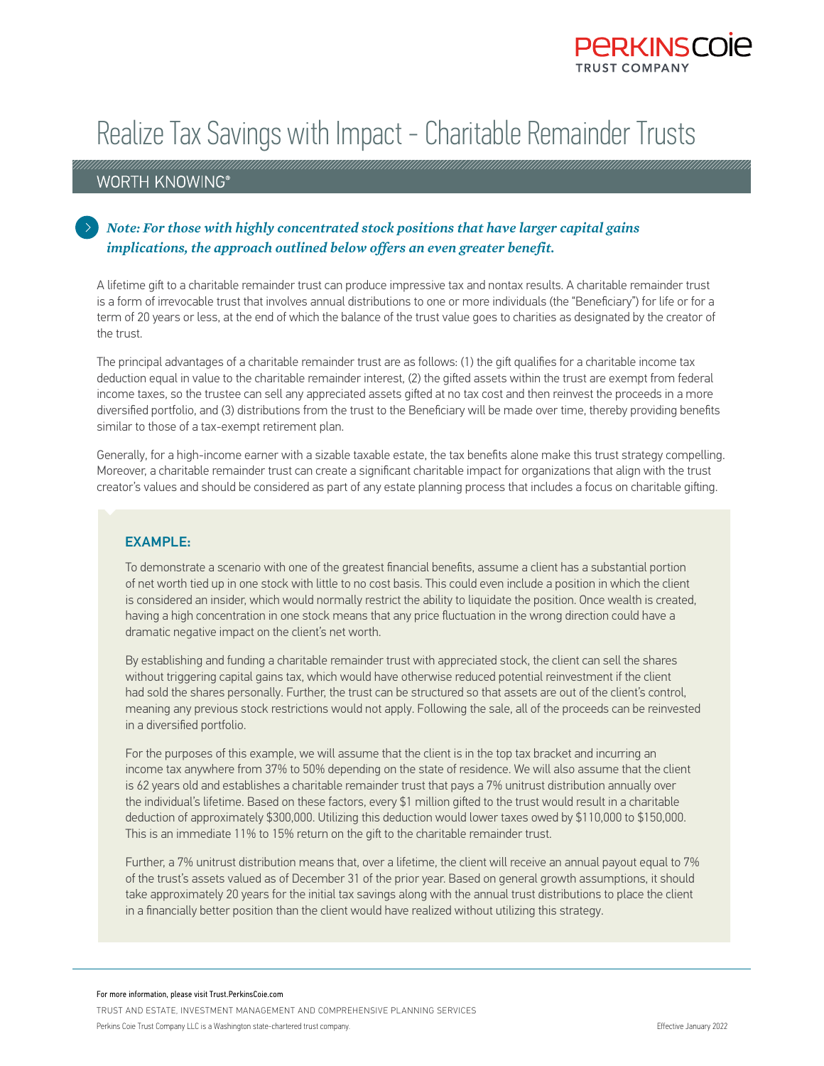

## Realize Tax Savings with Impact - Charitable Remainder Trusts

## WORTH KNOWING®

## *Note: For those with highly concentrated stock positions that have larger capital gains implications, the approach outlined below offers an even greater benefit.*

A lifetime gift to a charitable remainder trust can produce impressive tax and nontax results. A charitable remainder trust is a form of irrevocable trust that involves annual distributions to one or more individuals (the "Beneficiary") for life or for a term of 20 years or less, at the end of which the balance of the trust value goes to charities as designated by the creator of the trust.

The principal advantages of a charitable remainder trust are as follows: (1) the gift qualifies for a charitable income tax deduction equal in value to the charitable remainder interest, (2) the gifted assets within the trust are exempt from federal income taxes, so the trustee can sell any appreciated assets gifted at no tax cost and then reinvest the proceeds in a more diversified portfolio, and (3) distributions from the trust to the Beneficiary will be made over time, thereby providing benefits similar to those of a tax-exempt retirement plan.

Generally, for a high-income earner with a sizable taxable estate, the tax benefits alone make this trust strategy compelling. Moreover, a charitable remainder trust can create a significant charitable impact for organizations that align with the trust creator's values and should be considered as part of any estate planning process that includes a focus on charitable gifting.

## EXAMPLE:

To demonstrate a scenario with one of the greatest financial benefits, assume a client has a substantial portion of net worth tied up in one stock with little to no cost basis. This could even include a position in which the client is considered an insider, which would normally restrict the ability to liquidate the position. Once wealth is created, having a high concentration in one stock means that any price fluctuation in the wrong direction could have a dramatic negative impact on the client's net worth.

By establishing and funding a charitable remainder trust with appreciated stock, the client can sell the shares without triggering capital gains tax, which would have otherwise reduced potential reinvestment if the client had sold the shares personally. Further, the trust can be structured so that assets are out of the client's control, meaning any previous stock restrictions would not apply. Following the sale, all of the proceeds can be reinvested in a diversified portfolio.

For the purposes of this example, we will assume that the client is in the top tax bracket and incurring an income tax anywhere from 37% to 50% depending on the state of residence. We will also assume that the client is 62 years old and establishes a charitable remainder trust that pays a 7% unitrust distribution annually over the individual's lifetime. Based on these factors, every \$1 million gifted to the trust would result in a charitable deduction of approximately \$300,000. Utilizing this deduction would lower taxes owed by \$110,000 to \$150,000. This is an immediate 11% to 15% return on the gift to the charitable remainder trust.

Further, a 7% unitrust distribution means that, over a lifetime, the client will receive an annual payout equal to 7% of the trust's assets valued as of December 31 of the prior year. Based on general growth assumptions, it should take approximately 20 years for the initial tax savings along with the annual trust distributions to place the client in a financially better position than the client would have realized without utilizing this strategy.

For more information, please visit Trust.PerkinsCoie.com

TRUST AND ESTATE, INVESTMENT MANAGEMENT AND COMPREHENSIVE PLANNING SERVICES

Perkins Coie Trust Company LLC is a Washington state-chartered trust company.